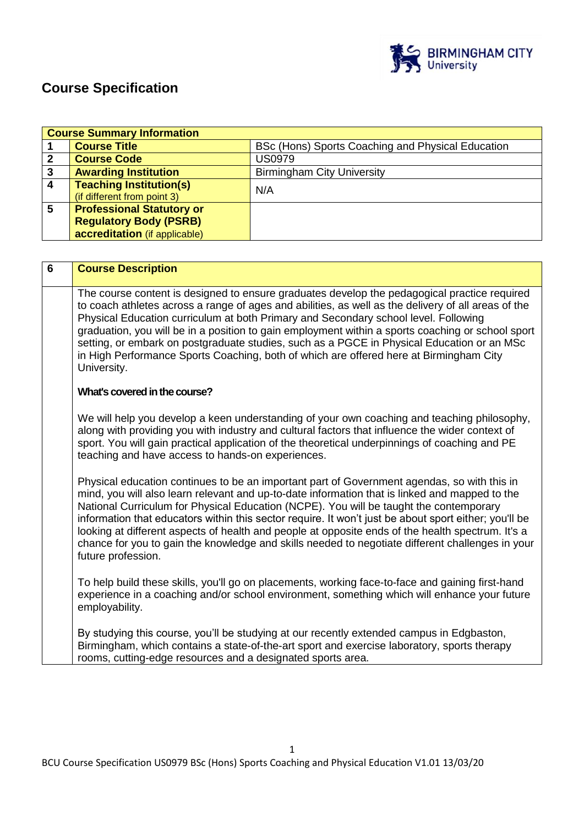

# **Course Specification**

|                  | <b>Course Summary Information</b> |                                                   |  |
|------------------|-----------------------------------|---------------------------------------------------|--|
|                  | <b>Course Title</b>               | BSc (Hons) Sports Coaching and Physical Education |  |
| 2                | <b>Course Code</b>                | <b>US0979</b>                                     |  |
| 3                | <b>Awarding Institution</b>       | <b>Birmingham City University</b>                 |  |
| $\boldsymbol{4}$ | <b>Teaching Institution(s)</b>    | N/A                                               |  |
|                  | (if different from point 3)       |                                                   |  |
| 5                | <b>Professional Statutory or</b>  |                                                   |  |
|                  | <b>Regulatory Body (PSRB)</b>     |                                                   |  |
|                  | accreditation (if applicable)     |                                                   |  |

| 6 | <b>Course Description</b>                                                                                                                                                                                                                                                                                                                                                                                                                                                                                                                                                                                                       |
|---|---------------------------------------------------------------------------------------------------------------------------------------------------------------------------------------------------------------------------------------------------------------------------------------------------------------------------------------------------------------------------------------------------------------------------------------------------------------------------------------------------------------------------------------------------------------------------------------------------------------------------------|
|   | The course content is designed to ensure graduates develop the pedagogical practice required<br>to coach athletes across a range of ages and abilities, as well as the delivery of all areas of the<br>Physical Education curriculum at both Primary and Secondary school level. Following<br>graduation, you will be in a position to gain employment within a sports coaching or school sport<br>setting, or embark on postgraduate studies, such as a PGCE in Physical Education or an MSc<br>in High Performance Sports Coaching, both of which are offered here at Birmingham City<br>University.                          |
|   | What's covered in the course?                                                                                                                                                                                                                                                                                                                                                                                                                                                                                                                                                                                                   |
|   | We will help you develop a keen understanding of your own coaching and teaching philosophy,<br>along with providing you with industry and cultural factors that influence the wider context of<br>sport. You will gain practical application of the theoretical underpinnings of coaching and PE<br>teaching and have access to hands-on experiences.                                                                                                                                                                                                                                                                           |
|   | Physical education continues to be an important part of Government agendas, so with this in<br>mind, you will also learn relevant and up-to-date information that is linked and mapped to the<br>National Curriculum for Physical Education (NCPE). You will be taught the contemporary<br>information that educators within this sector require. It won't just be about sport either; you'll be<br>looking at different aspects of health and people at opposite ends of the health spectrum. It's a<br>chance for you to gain the knowledge and skills needed to negotiate different challenges in your<br>future profession. |
|   | To help build these skills, you'll go on placements, working face-to-face and gaining first-hand<br>experience in a coaching and/or school environment, something which will enhance your future<br>employability.                                                                                                                                                                                                                                                                                                                                                                                                              |
|   | By studying this course, you'll be studying at our recently extended campus in Edgbaston,<br>Birmingham, which contains a state-of-the-art sport and exercise laboratory, sports therapy<br>rooms, cutting-edge resources and a designated sports area.                                                                                                                                                                                                                                                                                                                                                                         |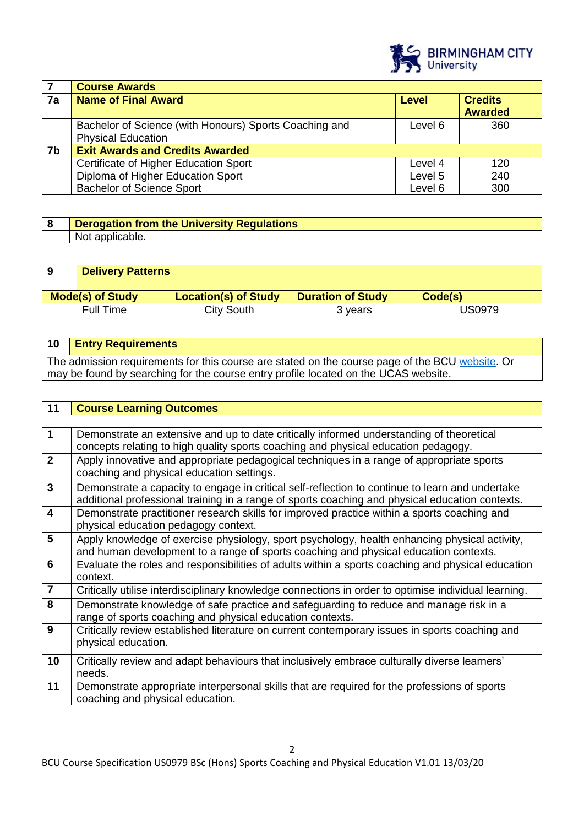

|    | <b>Course Awards</b>                                                                |              |                                  |
|----|-------------------------------------------------------------------------------------|--------------|----------------------------------|
| 7a | <b>Name of Final Award</b>                                                          | <b>Level</b> | <b>Credits</b><br><b>Awarded</b> |
|    | Bachelor of Science (with Honours) Sports Coaching and<br><b>Physical Education</b> | Level 6      | 360                              |
| 7b | <b>Exit Awards and Credits Awarded</b>                                              |              |                                  |
|    | Certificate of Higher Education Sport                                               | Level 4      | 120                              |
|    | Diploma of Higher Education Sport                                                   | Level 5      | 240                              |
|    | <b>Bachelor of Science Sport</b>                                                    | Level 6      | 300                              |

| <b>Derogation from the University Regulations</b> |
|---------------------------------------------------|
| NO.                                               |

| <b>Delivery Patterns</b> |                             |                          |         |
|--------------------------|-----------------------------|--------------------------|---------|
| <b>Mode(s) of Study</b>  | <b>Location(s) of Study</b> | <b>Duration of Study</b> | Code(s) |
| <b>Full Time</b>         | City South                  | 3 years                  | JS0979  |

| 10 <b>Entry Requirements</b>                                                                    |
|-------------------------------------------------------------------------------------------------|
| The admission requirements for this course are stated on the course page of the BCU website. Or |
| may be found by searching for the course entry profile located on the UCAS website.             |

| 11                      | <b>Course Learning Outcomes</b>                                                                                                                                                                    |
|-------------------------|----------------------------------------------------------------------------------------------------------------------------------------------------------------------------------------------------|
|                         |                                                                                                                                                                                                    |
| $\mathbf{1}$            | Demonstrate an extensive and up to date critically informed understanding of theoretical<br>concepts relating to high quality sports coaching and physical education pedagogy.                     |
| $\overline{2}$          | Apply innovative and appropriate pedagogical techniques in a range of appropriate sports<br>coaching and physical education settings.                                                              |
| $\overline{3}$          | Demonstrate a capacity to engage in critical self-reflection to continue to learn and undertake<br>additional professional training in a range of sports coaching and physical education contexts. |
| $\overline{\mathbf{4}}$ | Demonstrate practitioner research skills for improved practice within a sports coaching and<br>physical education pedagogy context.                                                                |
| $\overline{5}$          | Apply knowledge of exercise physiology, sport psychology, health enhancing physical activity,<br>and human development to a range of sports coaching and physical education contexts.              |
| 6                       | Evaluate the roles and responsibilities of adults within a sports coaching and physical education<br>context.                                                                                      |
| $\overline{7}$          | Critically utilise interdisciplinary knowledge connections in order to optimise individual learning.                                                                                               |
| 8                       | Demonstrate knowledge of safe practice and safeguarding to reduce and manage risk in a<br>range of sports coaching and physical education contexts.                                                |
| 9                       | Critically review established literature on current contemporary issues in sports coaching and<br>physical education.                                                                              |
| 10                      | Critically review and adapt behaviours that inclusively embrace culturally diverse learners'<br>needs.                                                                                             |
| 11                      | Demonstrate appropriate interpersonal skills that are required for the professions of sports<br>coaching and physical education.                                                                   |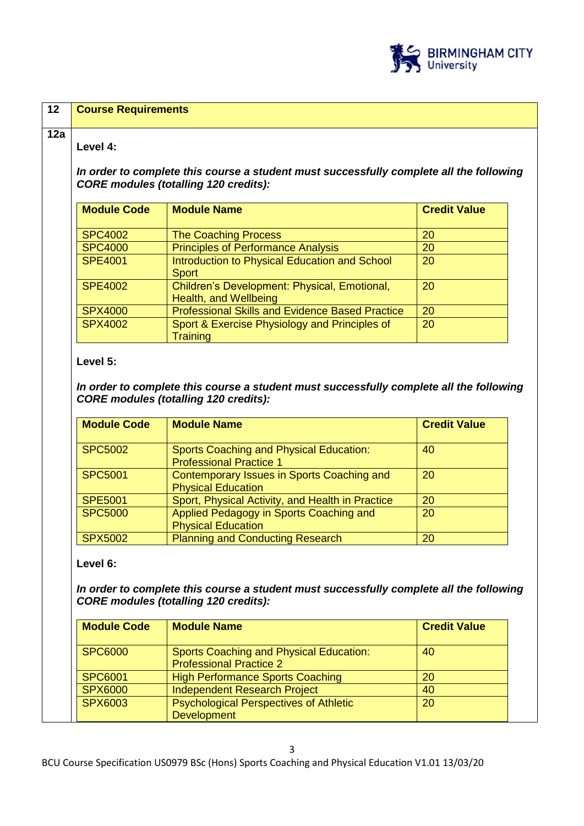

| 12  | <b>Course Requirements</b> |                                                                                                                                         |                     |  |
|-----|----------------------------|-----------------------------------------------------------------------------------------------------------------------------------------|---------------------|--|
| 12a | Level 4:                   | In order to complete this course a student must successfully complete all the following<br><b>CORE modules (totalling 120 credits):</b> |                     |  |
|     | <b>Module Code</b>         | <b>Module Name</b>                                                                                                                      | <b>Credit Value</b> |  |
|     | <b>SPC4002</b>             | <b>The Coaching Process</b>                                                                                                             | 20                  |  |
|     | <b>SPC4000</b>             | <b>Principles of Performance Analysis</b>                                                                                               | 20                  |  |
|     | <b>SPE4001</b>             | Introduction to Physical Education and School<br><b>Sport</b>                                                                           | 20                  |  |
|     | <b>SPE4002</b>             | Children's Development: Physical, Emotional,<br>Health, and Wellbeing                                                                   | 20                  |  |
|     | <b>SPX4000</b>             | <b>Professional Skills and Evidence Based Practice</b>                                                                                  | 20                  |  |
|     | <b>SPX4002</b>             | Sport & Exercise Physiology and Principles of<br><b>Training</b>                                                                        | 20                  |  |

## **Level 5:**

*In order to complete this course a student must successfully complete all the following CORE modules (totalling 120 credits):*

| <b>Module Code</b> | <b>Module Name</b>                                                               | <b>Credit Value</b> |
|--------------------|----------------------------------------------------------------------------------|---------------------|
| <b>SPC5002</b>     | <b>Sports Coaching and Physical Education:</b><br><b>Professional Practice 1</b> | 40                  |
| <b>SPC5001</b>     | Contemporary Issues in Sports Coaching and<br><b>Physical Education</b>          | 20                  |
| <b>SPE5001</b>     | Sport, Physical Activity, and Health in Practice                                 | <b>20</b>           |
| <b>SPC5000</b>     | Applied Pedagogy in Sports Coaching and<br><b>Physical Education</b>             | 20                  |
| <b>SPX5002</b>     | <b>Planning and Conducting Research</b>                                          | 20                  |

# **Level 6:**

In order to complete this course a student must successfully complete all the following *CORE modules (totalling 120 credits):*

| <b>Module Code</b> | <b>Module Name</b>                                                        | <b>Credit Value</b> |
|--------------------|---------------------------------------------------------------------------|---------------------|
| <b>SPC6000</b>     | Sports Coaching and Physical Education:<br><b>Professional Practice 2</b> | 40                  |
| <b>SPC6001</b>     | <b>High Performance Sports Coaching</b>                                   | 20                  |
| <b>SPX6000</b>     | <b>Independent Research Project</b>                                       | 40                  |
| <b>SPX6003</b>     | <b>Psychological Perspectives of Athletic</b>                             | 20                  |
|                    | <b>Development</b>                                                        |                     |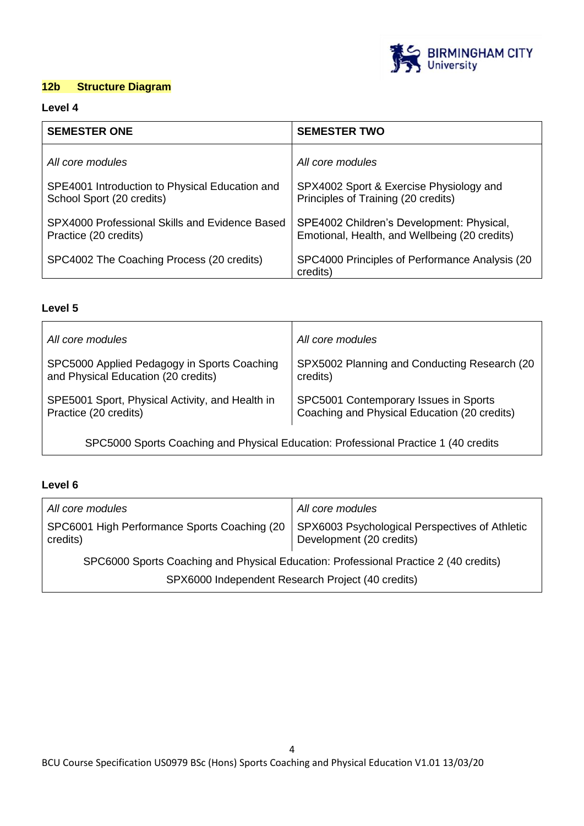

# **12b Structure Diagram**

### **Level 4**

| <b>SEMESTER ONE</b>                                                         | <b>SEMESTER TWO</b>                                                                        |
|-----------------------------------------------------------------------------|--------------------------------------------------------------------------------------------|
| All core modules                                                            | All core modules                                                                           |
| SPE4001 Introduction to Physical Education and<br>School Sport (20 credits) | SPX4002 Sport & Exercise Physiology and<br>Principles of Training (20 credits)             |
| SPX4000 Professional Skills and Evidence Based<br>Practice (20 credits)     | SPE4002 Children's Development: Physical,<br>Emotional, Health, and Wellbeing (20 credits) |
| SPC4002 The Coaching Process (20 credits)                                   | SPC4000 Principles of Performance Analysis (20)<br>credits)                                |

# **Level 5**

| All core modules                                | All core modules                             |
|-------------------------------------------------|----------------------------------------------|
| SPC5000 Applied Pedagogy in Sports Coaching     | SPX5002 Planning and Conducting Research (20 |
| and Physical Education (20 credits)             | credits)                                     |
| SPE5001 Sport, Physical Activity, and Health in | SPC5001 Contemporary Issues in Sports        |
| Practice (20 credits)                           | Coaching and Physical Education (20 credits) |

SPC5000 Sports Coaching and Physical Education: Professional Practice 1 (40 credits

## **Level 6**

| All core modules                                                                     | All core modules                                                           |
|--------------------------------------------------------------------------------------|----------------------------------------------------------------------------|
| SPC6001 High Performance Sports Coaching (20<br>credits)                             | SPX6003 Psychological Perspectives of Athletic<br>Development (20 credits) |
| SPC6000 Sports Coaching and Physical Education: Professional Practice 2 (40 credits) |                                                                            |
| SPX6000 Independent Research Project (40 credits)                                    |                                                                            |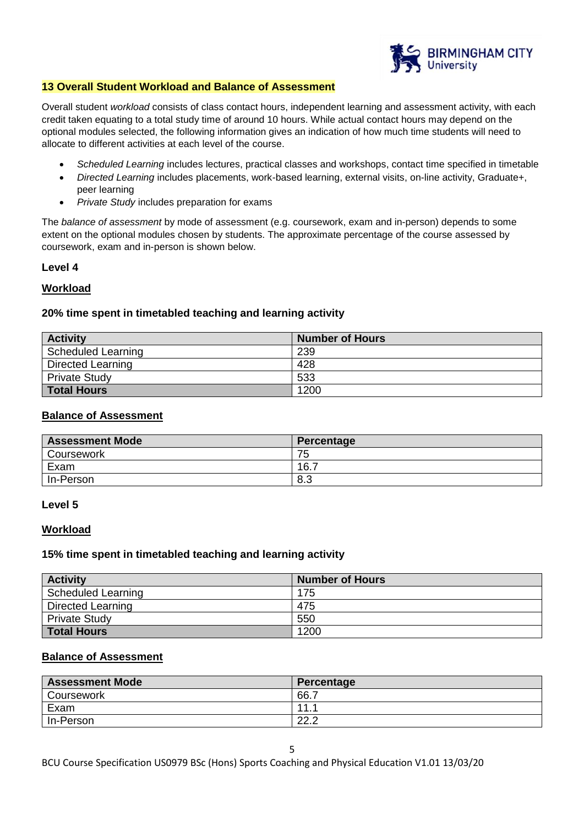

#### **13 Overall Student Workload and Balance of Assessment**

Overall student *workload* consists of class contact hours, independent learning and assessment activity, with each credit taken equating to a total study time of around 10 hours. While actual contact hours may depend on the optional modules selected, the following information gives an indication of how much time students will need to allocate to different activities at each level of the course.

- *Scheduled Learning* includes lectures, practical classes and workshops, contact time specified in timetable
- *Directed Learning* includes placements, work-based learning, external visits, on-line activity, Graduate+, peer learning
- *Private Study* includes preparation for exams

The *balance of assessment* by mode of assessment (e.g. coursework, exam and in-person) depends to some extent on the optional modules chosen by students. The approximate percentage of the course assessed by coursework, exam and in-person is shown below.

#### **Level 4**

#### **Workload**

#### **20% time spent in timetabled teaching and learning activity**

| <b>Activity</b>    | <b>Number of Hours</b> |
|--------------------|------------------------|
| Scheduled Learning | 239                    |
| Directed Learning  | 428                    |
| Private Study      | 533                    |
| <b>Total Hours</b> | 1200                   |

#### **Balance of Assessment**

| <b>Assessment Mode</b> | Percentage |
|------------------------|------------|
| Coursework             | 75         |
| Exam                   | 16.7       |
| In-Person              | 8.3        |

#### **Level 5**

#### **Workload**

#### **15% time spent in timetabled teaching and learning activity**

| <b>Activity</b>          | <b>Number of Hours</b> |
|--------------------------|------------------------|
| Scheduled Learning       | 175                    |
| <b>Directed Learning</b> | 475                    |
| <b>Private Study</b>     | 550                    |
| <b>Total Hours</b>       | 1200                   |

#### **Balance of Assessment**

| <b>Assessment Mode</b> | Percentage   |
|------------------------|--------------|
| Coursework             | 66.7         |
| Exam                   | $-11$ $-1$   |
| In-Person              | ററ റ<br>LL.L |